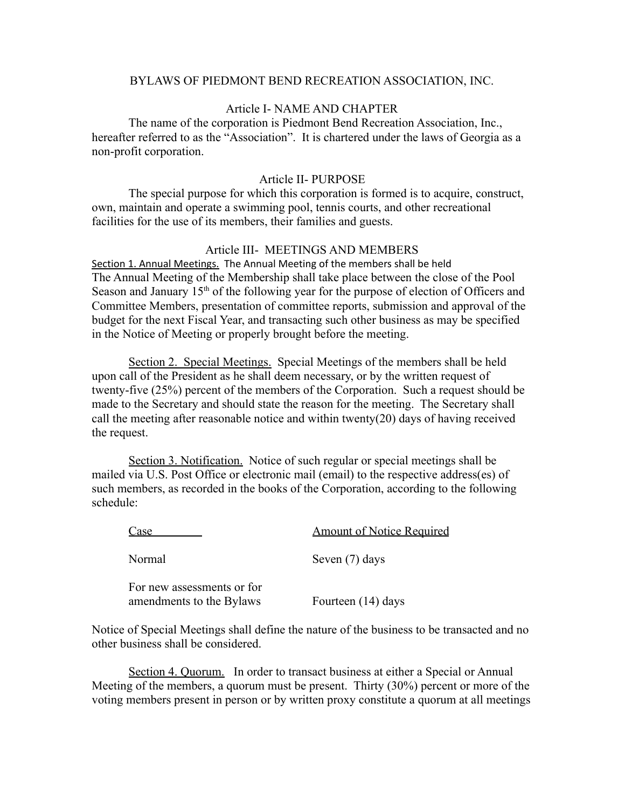#### BYLAWS OF PIEDMONT BEND RECREATION ASSOCIATION, INC.

## Article I- NAME AND CHAPTER

The name of the corporation is Piedmont Bend Recreation Association, Inc., hereafter referred to as the "Association". It is chartered under the laws of Georgia as a non-profit corporation.

### Article II- PURPOSE

The special purpose for which this corporation is formed is to acquire, construct, own, maintain and operate a swimming pool, tennis courts, and other recreational facilities for the use of its members, their families and guests.

### Article III- MEETINGS AND MEMBERS

Section 1. Annual Meetings. The Annual Meeting of the members shall be held The Annual Meeting of the Membership shall take place between the close of the Pool Season and January  $15<sup>th</sup>$  of the following year for the purpose of election of Officers and Committee Members, presentation of committee reports, submission and approval of the budget for the next Fiscal Year, and transacting such other business as may be specified in the Notice of Meeting or properly brought before the meeting.

Section 2. Special Meetings. Special Meetings of the members shall be held upon call of the President as he shall deem necessary, or by the written request of twenty-five (25%) percent of the members of the Corporation. Such a request should be made to the Secretary and should state the reason for the meeting. The Secretary shall call the meeting after reasonable notice and within twenty(20) days of having received the request.

Section 3. Notification. Notice of such regular or special meetings shall be mailed via U.S. Post Office or electronic mail (email) to the respective address(es) of such members, as recorded in the books of the Corporation, according to the following schedule:

| `ase                                                   | <b>Amount of Notice Required</b> |
|--------------------------------------------------------|----------------------------------|
| Normal                                                 | Seven (7) days                   |
| For new assessments or for<br>amendments to the Bylaws | Fourteen (14) days               |

Notice of Special Meetings shall define the nature of the business to be transacted and no other business shall be considered.

Section 4. Quorum. In order to transact business at either a Special or Annual Meeting of the members, a quorum must be present. Thirty (30%) percent or more of the voting members present in person or by written proxy constitute a quorum at all meetings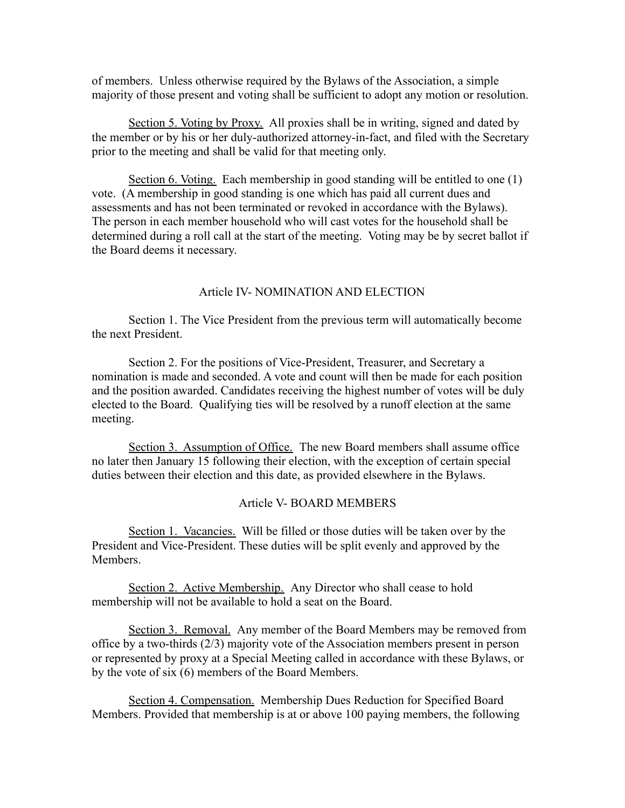of members. Unless otherwise required by the Bylaws of the Association, a simple majority of those present and voting shall be sufficient to adopt any motion or resolution.

Section 5. Voting by Proxy. All proxies shall be in writing, signed and dated by the member or by his or her duly-authorized attorney-in-fact, and filed with the Secretary prior to the meeting and shall be valid for that meeting only.

Section 6. Voting. Each membership in good standing will be entitled to one (1) vote. (A membership in good standing is one which has paid all current dues and assessments and has not been terminated or revoked in accordance with the Bylaws). The person in each member household who will cast votes for the household shall be determined during a roll call at the start of the meeting. Voting may be by secret ballot if the Board deems it necessary.

### Article IV- NOMINATION AND ELECTION

Section 1. The Vice President from the previous term will automatically become the next President.

Section 2. For the positions of Vice-President, Treasurer, and Secretary a nomination is made and seconded. A vote and count will then be made for each position and the position awarded. Candidates receiving the highest number of votes will be duly elected to the Board. Qualifying ties will be resolved by a runoff election at the same meeting.

Section 3. Assumption of Office. The new Board members shall assume office no later then January 15 following their election, with the exception of certain special duties between their election and this date, as provided elsewhere in the Bylaws.

#### Article V- BOARD MEMBERS

Section 1. Vacancies. Will be filled or those duties will be taken over by the President and Vice-President. These duties will be split evenly and approved by the Members.

Section 2. Active Membership. Any Director who shall cease to hold membership will not be available to hold a seat on the Board.

Section 3. Removal. Any member of the Board Members may be removed from office by a two-thirds (2/3) majority vote of the Association members present in person or represented by proxy at a Special Meeting called in accordance with these Bylaws, or by the vote of six (6) members of the Board Members.

Section 4. Compensation. Membership Dues Reduction for Specified Board Members. Provided that membership is at or above 100 paying members, the following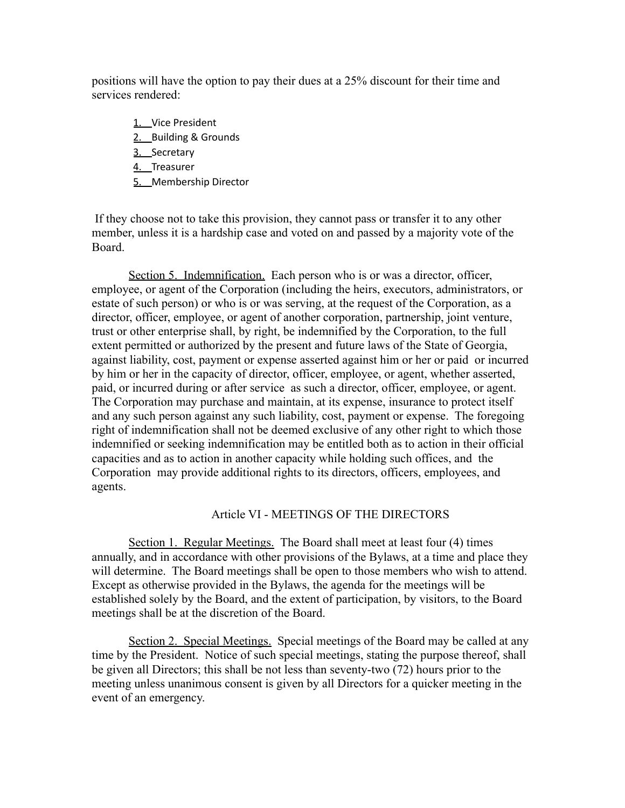positions will have the option to pay their dues at a 25% discount for their time and services rendered:

- 1. Vice President
- 2. Building & Grounds
- 3. Secretary
- 4. Treasurer
- 5. Membership Director

If they choose not to take this provision, they cannot pass or transfer it to any other member, unless it is a hardship case and voted on and passed by a majority vote of the Board.

Section 5. Indemnification. Each person who is or was a director, officer, employee, or agent of the Corporation (including the heirs, executors, administrators, or estate of such person) or who is or was serving, at the request of the Corporation, as a director, officer, employee, or agent of another corporation, partnership, joint venture, trust or other enterprise shall, by right, be indemnified by the Corporation, to the full extent permitted or authorized by the present and future laws of the State of Georgia, against liability, cost, payment or expense asserted against him or her or paid or incurred by him or her in the capacity of director, officer, employee, or agent, whether asserted, paid, or incurred during or after service as such a director, officer, employee, or agent. The Corporation may purchase and maintain, at its expense, insurance to protect itself and any such person against any such liability, cost, payment or expense. The foregoing right of indemnification shall not be deemed exclusive of any other right to which those indemnified or seeking indemnification may be entitled both as to action in their official capacities and as to action in another capacity while holding such offices, and the Corporation may provide additional rights to its directors, officers, employees, and agents.

### Article VI - MEETINGS OF THE DIRECTORS

Section 1. Regular Meetings. The Board shall meet at least four (4) times annually, and in accordance with other provisions of the Bylaws, at a time and place they will determine. The Board meetings shall be open to those members who wish to attend. Except as otherwise provided in the Bylaws, the agenda for the meetings will be established solely by the Board, and the extent of participation, by visitors, to the Board meetings shall be at the discretion of the Board.

Section 2. Special Meetings. Special meetings of the Board may be called at any time by the President. Notice of such special meetings, stating the purpose thereof, shall be given all Directors; this shall be not less than seventy-two (72) hours prior to the meeting unless unanimous consent is given by all Directors for a quicker meeting in the event of an emergency.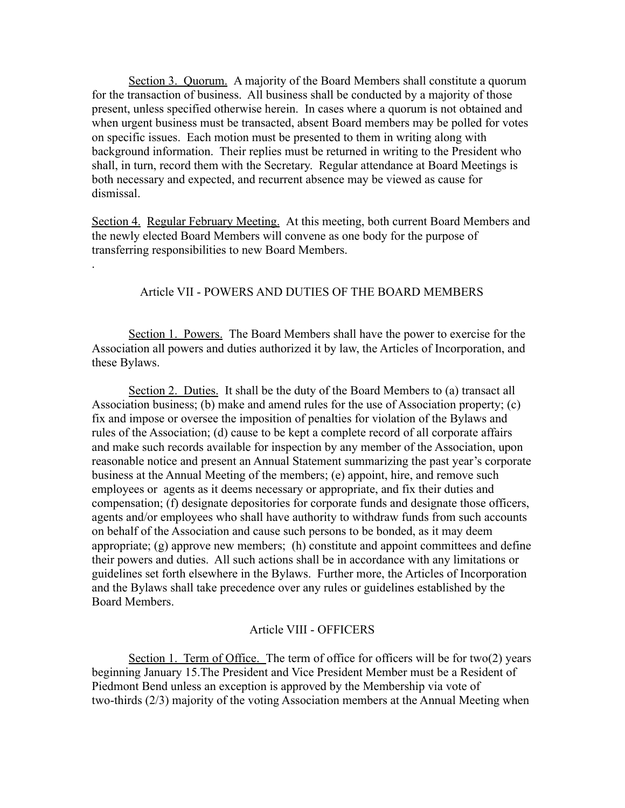Section 3. Quorum. A majority of the Board Members shall constitute a quorum for the transaction of business. All business shall be conducted by a majority of those present, unless specified otherwise herein. In cases where a quorum is not obtained and when urgent business must be transacted, absent Board members may be polled for votes on specific issues. Each motion must be presented to them in writing along with background information. Their replies must be returned in writing to the President who shall, in turn, record them with the Secretary. Regular attendance at Board Meetings is both necessary and expected, and recurrent absence may be viewed as cause for dismissal.

Section 4. Regular February Meeting. At this meeting, both current Board Members and the newly elected Board Members will convene as one body for the purpose of transferring responsibilities to new Board Members.

.

### Article VII - POWERS AND DUTIES OF THE BOARD MEMBERS

Section 1. Powers. The Board Members shall have the power to exercise for the Association all powers and duties authorized it by law, the Articles of Incorporation, and these Bylaws.

Section 2. Duties. It shall be the duty of the Board Members to (a) transact all Association business; (b) make and amend rules for the use of Association property; (c) fix and impose or oversee the imposition of penalties for violation of the Bylaws and rules of the Association; (d) cause to be kept a complete record of all corporate affairs and make such records available for inspection by any member of the Association, upon reasonable notice and present an Annual Statement summarizing the past year's corporate business at the Annual Meeting of the members; (e) appoint, hire, and remove such employees or agents as it deems necessary or appropriate, and fix their duties and compensation; (f) designate depositories for corporate funds and designate those officers, agents and/or employees who shall have authority to withdraw funds from such accounts on behalf of the Association and cause such persons to be bonded, as it may deem appropriate; (g) approve new members; (h) constitute and appoint committees and define their powers and duties. All such actions shall be in accordance with any limitations or guidelines set forth elsewhere in the Bylaws. Further more, the Articles of Incorporation and the Bylaws shall take precedence over any rules or guidelines established by the Board Members.

### Article VIII - OFFICERS

Section 1. Term of Office. The term of office for officers will be for two(2) years beginning January 15.The President and Vice President Member must be a Resident of Piedmont Bend unless an exception is approved by the Membership via vote of two-thirds (2/3) majority of the voting Association members at the Annual Meeting when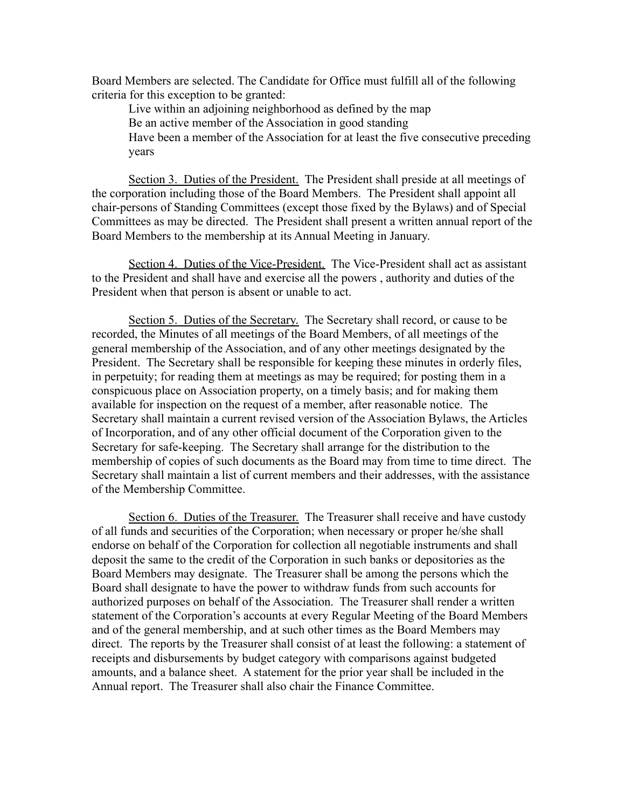Board Members are selected. The Candidate for Office must fulfill all of the following criteria for this exception to be granted:

Live within an adjoining neighborhood as defined by the map Be an active member of the Association in good standing Have been a member of the Association for at least the five consecutive preceding years

Section 3. Duties of the President. The President shall preside at all meetings of the corporation including those of the Board Members. The President shall appoint all chair-persons of Standing Committees (except those fixed by the Bylaws) and of Special Committees as may be directed. The President shall present a written annual report of the Board Members to the membership at its Annual Meeting in January.

Section 4. Duties of the Vice-President. The Vice-President shall act as assistant to the President and shall have and exercise all the powers , authority and duties of the President when that person is absent or unable to act.

Section 5. Duties of the Secretary. The Secretary shall record, or cause to be recorded, the Minutes of all meetings of the Board Members, of all meetings of the general membership of the Association, and of any other meetings designated by the President. The Secretary shall be responsible for keeping these minutes in orderly files, in perpetuity; for reading them at meetings as may be required; for posting them in a conspicuous place on Association property, on a timely basis; and for making them available for inspection on the request of a member, after reasonable notice. The Secretary shall maintain a current revised version of the Association Bylaws, the Articles of Incorporation, and of any other official document of the Corporation given to the Secretary for safe-keeping. The Secretary shall arrange for the distribution to the membership of copies of such documents as the Board may from time to time direct. The Secretary shall maintain a list of current members and their addresses, with the assistance of the Membership Committee.

Section 6. Duties of the Treasurer. The Treasurer shall receive and have custody of all funds and securities of the Corporation; when necessary or proper he/she shall endorse on behalf of the Corporation for collection all negotiable instruments and shall deposit the same to the credit of the Corporation in such banks or depositories as the Board Members may designate. The Treasurer shall be among the persons which the Board shall designate to have the power to withdraw funds from such accounts for authorized purposes on behalf of the Association. The Treasurer shall render a written statement of the Corporation's accounts at every Regular Meeting of the Board Members and of the general membership, and at such other times as the Board Members may direct. The reports by the Treasurer shall consist of at least the following: a statement of receipts and disbursements by budget category with comparisons against budgeted amounts, and a balance sheet. A statement for the prior year shall be included in the Annual report. The Treasurer shall also chair the Finance Committee.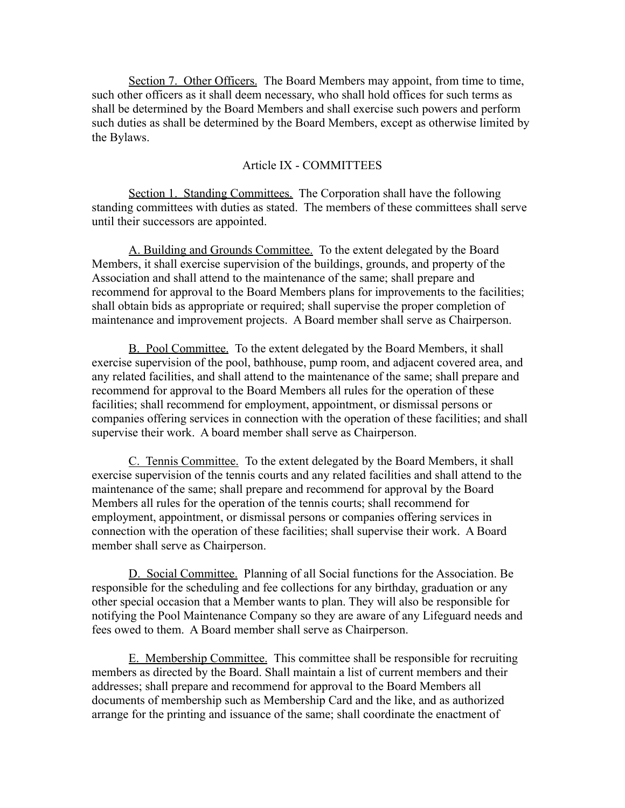Section 7. Other Officers. The Board Members may appoint, from time to time, such other officers as it shall deem necessary, who shall hold offices for such terms as shall be determined by the Board Members and shall exercise such powers and perform such duties as shall be determined by the Board Members, except as otherwise limited by the Bylaws.

#### Article IX - COMMITTEES

Section 1. Standing Committees. The Corporation shall have the following standing committees with duties as stated. The members of these committees shall serve until their successors are appointed.

A. Building and Grounds Committee. To the extent delegated by the Board Members, it shall exercise supervision of the buildings, grounds, and property of the Association and shall attend to the maintenance of the same; shall prepare and recommend for approval to the Board Members plans for improvements to the facilities; shall obtain bids as appropriate or required; shall supervise the proper completion of maintenance and improvement projects. A Board member shall serve as Chairperson.

B. Pool Committee. To the extent delegated by the Board Members, it shall exercise supervision of the pool, bathhouse, pump room, and adjacent covered area, and any related facilities, and shall attend to the maintenance of the same; shall prepare and recommend for approval to the Board Members all rules for the operation of these facilities; shall recommend for employment, appointment, or dismissal persons or companies offering services in connection with the operation of these facilities; and shall supervise their work. A board member shall serve as Chairperson.

C. Tennis Committee. To the extent delegated by the Board Members, it shall exercise supervision of the tennis courts and any related facilities and shall attend to the maintenance of the same; shall prepare and recommend for approval by the Board Members all rules for the operation of the tennis courts; shall recommend for employment, appointment, or dismissal persons or companies offering services in connection with the operation of these facilities; shall supervise their work. A Board member shall serve as Chairperson.

D. Social Committee. Planning of all Social functions for the Association. Be responsible for the scheduling and fee collections for any birthday, graduation or any other special occasion that a Member wants to plan. They will also be responsible for notifying the Pool Maintenance Company so they are aware of any Lifeguard needs and fees owed to them. A Board member shall serve as Chairperson.

E. Membership Committee. This committee shall be responsible for recruiting members as directed by the Board. Shall maintain a list of current members and their addresses; shall prepare and recommend for approval to the Board Members all documents of membership such as Membership Card and the like, and as authorized arrange for the printing and issuance of the same; shall coordinate the enactment of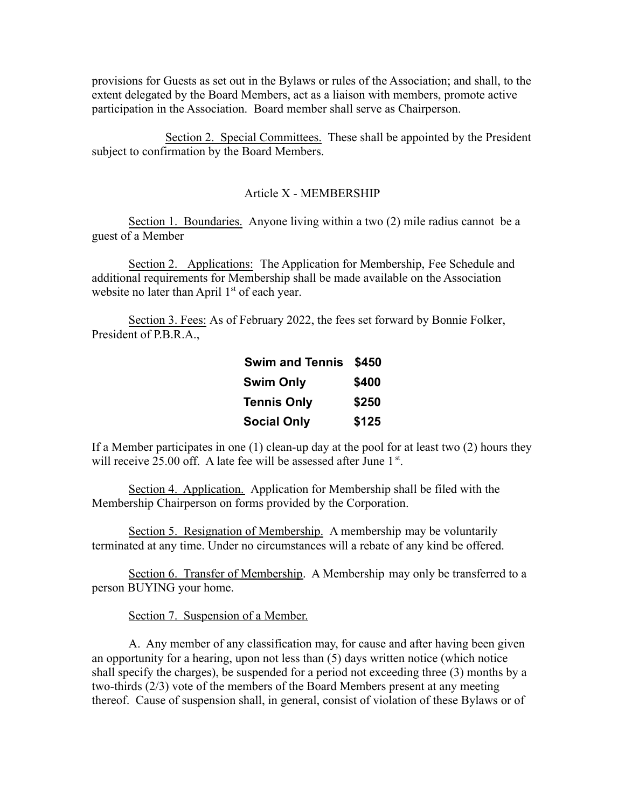provisions for Guests as set out in the Bylaws or rules of the Association; and shall, to the extent delegated by the Board Members, act as a liaison with members, promote active participation in the Association. Board member shall serve as Chairperson.

Section 2. Special Committees. These shall be appointed by the President subject to confirmation by the Board Members.

#### Article X - MEMBERSHIP

Section 1. Boundaries. Anyone living within a two (2) mile radius cannot be a guest of a Member

Section 2. Applications: The Application for Membership, Fee Schedule and additional requirements for Membership shall be made available on the Association website no later than April  $1<sup>st</sup>$  of each year.

Section 3. Fees: As of February 2022, the fees set forward by Bonnie Folker, President of P.B.R.A.,

| <b>Swim and Tennis</b> | \$450 |
|------------------------|-------|
| <b>Swim Only</b>       | \$400 |
| <b>Tennis Only</b>     | \$250 |
| <b>Social Only</b>     | \$125 |

If a Member participates in one  $(1)$  clean-up day at the pool for at least two  $(2)$  hours they will receive 25.00 off. A late fee will be assessed after June 1<sup>st</sup>.

Section 4. Application. Application for Membership shall be filed with the Membership Chairperson on forms provided by the Corporation.

Section 5. Resignation of Membership. A membership may be voluntarily terminated at any time. Under no circumstances will a rebate of any kind be offered.

Section 6. Transfer of Membership. A Membership may only be transferred to a person BUYING your home.

Section 7. Suspension of a Member.

A. Any member of any classification may, for cause and after having been given an opportunity for a hearing, upon not less than (5) days written notice (which notice shall specify the charges), be suspended for a period not exceeding three (3) months by a two-thirds (2/3) vote of the members of the Board Members present at any meeting thereof. Cause of suspension shall, in general, consist of violation of these Bylaws or of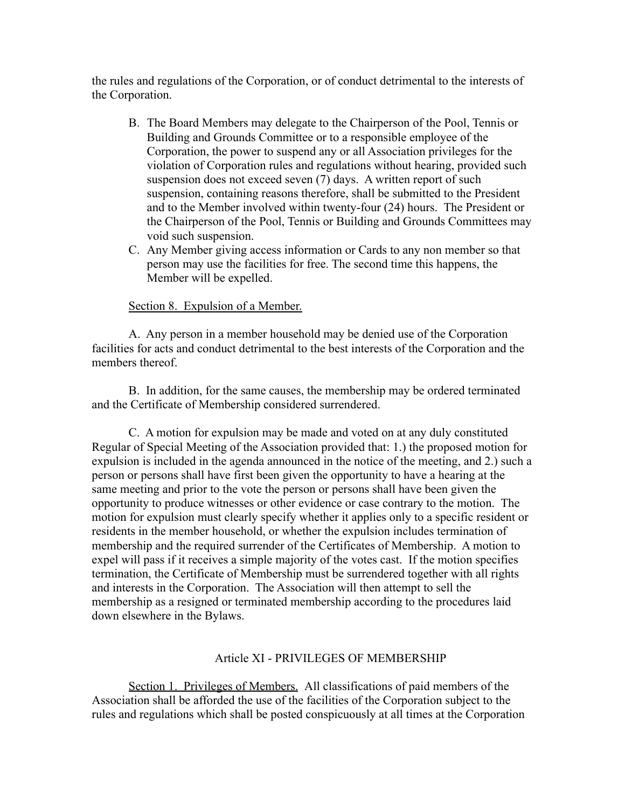the rules and regulations of the Corporation, or of conduct detrimental to the interests of the Corporation.

- B. The Board Members may delegate to the Chairperson of the Pool, Tennis or Building and Grounds Committee or to a responsible employee of the Corporation, the power to suspend any or all Association privileges for the violation of Corporation rules and regulations without hearing, provided such suspension does not exceed seven (7) days. A written report of such suspension, containing reasons therefore, shall be submitted to the President and to the Member involved within twenty-four (24) hours. The President or the Chairperson of the Pool, Tennis or Building and Grounds Committees may void such suspension.
- C. Any Member giving access information or Cards to any non member so that person may use the facilities for free. The second time this happens, the Member will be expelled.

### Section 8. Expulsion of a Member.

A. Any person in a member household may be denied use of the Corporation facilities for acts and conduct detrimental to the best interests of the Corporation and the members thereof.

B. In addition, for the same causes, the membership may be ordered terminated and the Certificate of Membership considered surrendered.

C. A motion for expulsion may be made and voted on at any duly constituted Regular of Special Meeting of the Association provided that: 1.) the proposed motion for expulsion is included in the agenda announced in the notice of the meeting, and 2.) such a person or persons shall have first been given the opportunity to have a hearing at the same meeting and prior to the vote the person or persons shall have been given the opportunity to produce witnesses or other evidence or case contrary to the motion. The motion for expulsion must clearly specify whether it applies only to a specific resident or residents in the member household, or whether the expulsion includes termination of membership and the required surrender of the Certificates of Membership. A motion to expel will pass if it receives a simple majority of the votes cast. If the motion specifies termination, the Certificate of Membership must be surrendered together with all rights and interests in the Corporation. The Association will then attempt to sell the membership as a resigned or terminated membership according to the procedures laid down elsewhere in the Bylaws.

#### Article XI - PRIVILEGES OF MEMBERSHIP

Section 1. Privileges of Members. All classifications of paid members of the Association shall be afforded the use of the facilities of the Corporation subject to the rules and regulations which shall be posted conspicuously at all times at the Corporation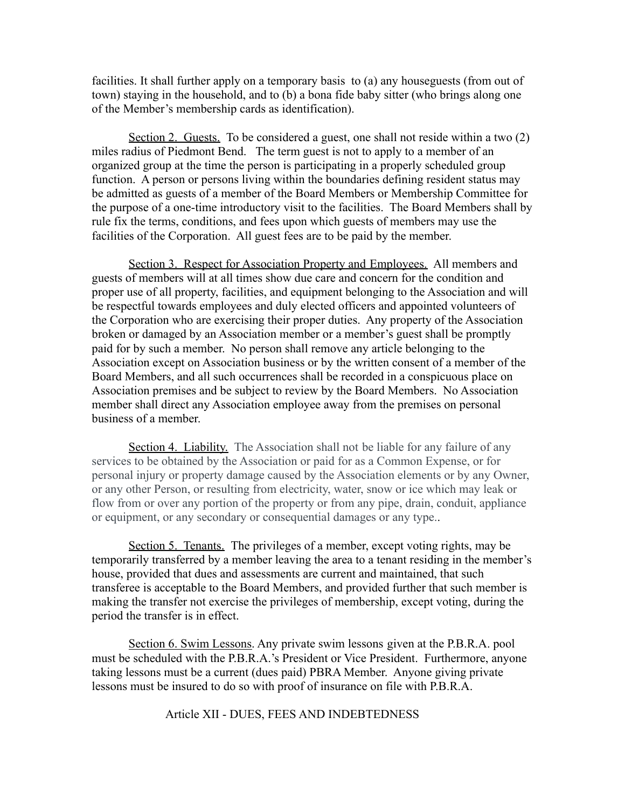facilities. It shall further apply on a temporary basis to (a) any houseguests (from out of town) staying in the household, and to (b) a bona fide baby sitter (who brings along one of the Member's membership cards as identification).

Section 2. Guests. To be considered a guest, one shall not reside within a two (2) miles radius of Piedmont Bend. The term guest is not to apply to a member of an organized group at the time the person is participating in a properly scheduled group function. A person or persons living within the boundaries defining resident status may be admitted as guests of a member of the Board Members or Membership Committee for the purpose of a one-time introductory visit to the facilities. The Board Members shall by rule fix the terms, conditions, and fees upon which guests of members may use the facilities of the Corporation. All guest fees are to be paid by the member.

Section 3. Respect for Association Property and Employees. All members and guests of members will at all times show due care and concern for the condition and proper use of all property, facilities, and equipment belonging to the Association and will be respectful towards employees and duly elected officers and appointed volunteers of the Corporation who are exercising their proper duties. Any property of the Association broken or damaged by an Association member or a member's guest shall be promptly paid for by such a member. No person shall remove any article belonging to the Association except on Association business or by the written consent of a member of the Board Members, and all such occurrences shall be recorded in a conspicuous place on Association premises and be subject to review by the Board Members. No Association member shall direct any Association employee away from the premises on personal business of a member.

Section 4. Liability. The Association shall not be liable for any failure of any services to be obtained by the Association or paid for as a Common Expense, or for personal injury or property damage caused by the Association elements or by any Owner, or any other Person, or resulting from electricity, water, snow or ice which may leak or flow from or over any portion of the property or from any pipe, drain, conduit, appliance or equipment, or any secondary or consequential damages or any type..

Section 5. Tenants. The privileges of a member, except voting rights, may be temporarily transferred by a member leaving the area to a tenant residing in the member's house, provided that dues and assessments are current and maintained, that such transferee is acceptable to the Board Members, and provided further that such member is making the transfer not exercise the privileges of membership, except voting, during the period the transfer is in effect.

Section 6. Swim Lessons. Any private swim lessons given at the P.B.R.A. pool must be scheduled with the P.B.R.A.'s President or Vice President. Furthermore, anyone taking lessons must be a current (dues paid) PBRA Member. Anyone giving private lessons must be insured to do so with proof of insurance on file with P.B.R.A.

Article XII - DUES, FEES AND INDEBTEDNESS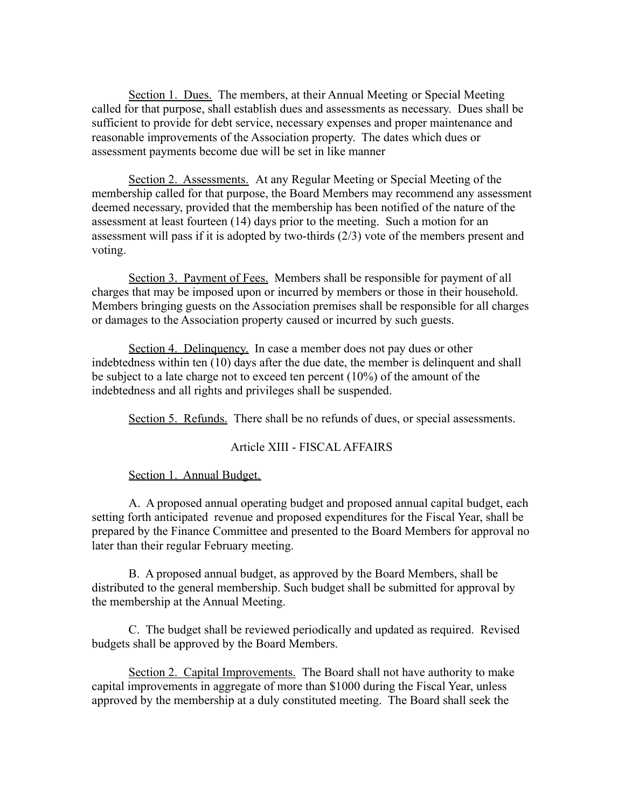Section 1. Dues. The members, at their Annual Meeting or Special Meeting called for that purpose, shall establish dues and assessments as necessary. Dues shall be sufficient to provide for debt service, necessary expenses and proper maintenance and reasonable improvements of the Association property. The dates which dues or assessment payments become due will be set in like manner

Section 2. Assessments. At any Regular Meeting or Special Meeting of the membership called for that purpose, the Board Members may recommend any assessment deemed necessary, provided that the membership has been notified of the nature of the assessment at least fourteen (14) days prior to the meeting. Such a motion for an assessment will pass if it is adopted by two-thirds (2/3) vote of the members present and voting.

Section 3. Payment of Fees. Members shall be responsible for payment of all charges that may be imposed upon or incurred by members or those in their household. Members bringing guests on the Association premises shall be responsible for all charges or damages to the Association property caused or incurred by such guests.

Section 4. Delinquency. In case a member does not pay dues or other indebtedness within ten (10) days after the due date, the member is delinquent and shall be subject to a late charge not to exceed ten percent (10%) of the amount of the indebtedness and all rights and privileges shall be suspended.

Section 5. Refunds. There shall be no refunds of dues, or special assessments.

#### Article XIII - FISCAL AFFAIRS

#### Section 1. Annual Budget.

A. A proposed annual operating budget and proposed annual capital budget, each setting forth anticipated revenue and proposed expenditures for the Fiscal Year, shall be prepared by the Finance Committee and presented to the Board Members for approval no later than their regular February meeting.

B. A proposed annual budget, as approved by the Board Members, shall be distributed to the general membership. Such budget shall be submitted for approval by the membership at the Annual Meeting.

C. The budget shall be reviewed periodically and updated as required. Revised budgets shall be approved by the Board Members.

Section 2. Capital Improvements. The Board shall not have authority to make capital improvements in aggregate of more than \$1000 during the Fiscal Year, unless approved by the membership at a duly constituted meeting. The Board shall seek the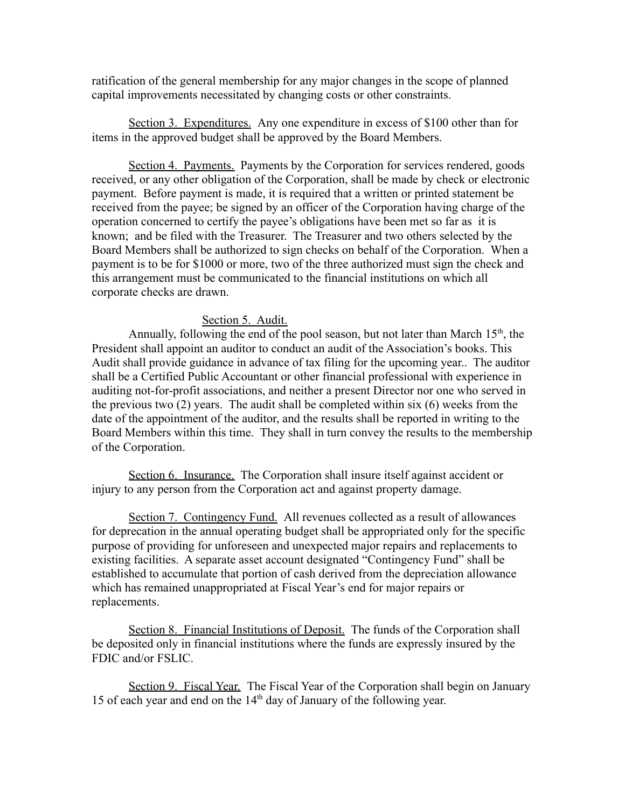ratification of the general membership for any major changes in the scope of planned capital improvements necessitated by changing costs or other constraints.

Section 3. Expenditures. Any one expenditure in excess of \$100 other than for items in the approved budget shall be approved by the Board Members.

Section 4. Payments. Payments by the Corporation for services rendered, goods received, or any other obligation of the Corporation, shall be made by check or electronic payment. Before payment is made, it is required that a written or printed statement be received from the payee; be signed by an officer of the Corporation having charge of the operation concerned to certify the payee's obligations have been met so far as it is known; and be filed with the Treasurer. The Treasurer and two others selected by the Board Members shall be authorized to sign checks on behalf of the Corporation. When a payment is to be for \$1000 or more, two of the three authorized must sign the check and this arrangement must be communicated to the financial institutions on which all corporate checks are drawn.

### Section 5. Audit.

Annually, following the end of the pool season, but not later than March  $15<sup>th</sup>$ , the President shall appoint an auditor to conduct an audit of the Association's books. This Audit shall provide guidance in advance of tax filing for the upcoming year.. The auditor shall be a Certified Public Accountant or other financial professional with experience in auditing not-for-profit associations, and neither a present Director nor one who served in the previous two (2) years. The audit shall be completed within six (6) weeks from the date of the appointment of the auditor, and the results shall be reported in writing to the Board Members within this time. They shall in turn convey the results to the membership of the Corporation.

Section 6. Insurance. The Corporation shall insure itself against accident or injury to any person from the Corporation act and against property damage.

Section 7. Contingency Fund. All revenues collected as a result of allowances for deprecation in the annual operating budget shall be appropriated only for the specific purpose of providing for unforeseen and unexpected major repairs and replacements to existing facilities. A separate asset account designated "Contingency Fund" shall be established to accumulate that portion of cash derived from the depreciation allowance which has remained unappropriated at Fiscal Year's end for major repairs or replacements.

Section 8. Financial Institutions of Deposit. The funds of the Corporation shall be deposited only in financial institutions where the funds are expressly insured by the FDIC and/or FSLIC.

Section 9. Fiscal Year. The Fiscal Year of the Corporation shall begin on January 15 of each year and end on the  $14<sup>th</sup>$  day of January of the following year.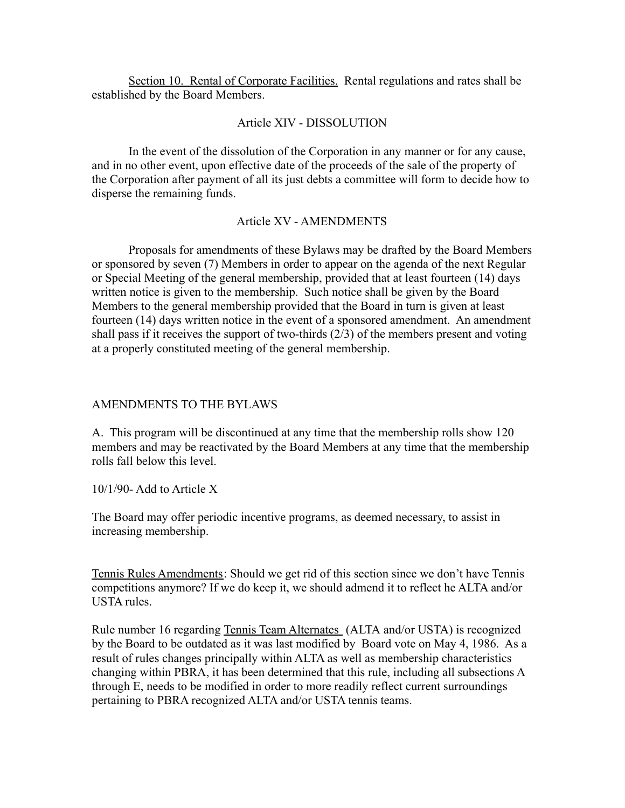Section 10. Rental of Corporate Facilities. Rental regulations and rates shall be established by the Board Members.

## Article XIV - DISSOLUTION

In the event of the dissolution of the Corporation in any manner or for any cause, and in no other event, upon effective date of the proceeds of the sale of the property of the Corporation after payment of all its just debts a committee will form to decide how to disperse the remaining funds.

## Article XV - AMENDMENTS

Proposals for amendments of these Bylaws may be drafted by the Board Members or sponsored by seven (7) Members in order to appear on the agenda of the next Regular or Special Meeting of the general membership, provided that at least fourteen (14) days written notice is given to the membership. Such notice shall be given by the Board Members to the general membership provided that the Board in turn is given at least fourteen (14) days written notice in the event of a sponsored amendment. An amendment shall pass if it receives the support of two-thirds (2/3) of the members present and voting at a properly constituted meeting of the general membership.

## AMENDMENTS TO THE BYLAWS

A. This program will be discontinued at any time that the membership rolls show 120 members and may be reactivated by the Board Members at any time that the membership rolls fall below this level.

10/1/90- Add to Article X

The Board may offer periodic incentive programs, as deemed necessary, to assist in increasing membership.

Tennis Rules Amendments: Should we get rid of this section since we don't have Tennis competitions anymore? If we do keep it, we should admend it to reflect he ALTA and/or USTA rules.

Rule number 16 regarding Tennis Team Alternates (ALTA and/or USTA) is recognized by the Board to be outdated as it was last modified by Board vote on May 4, 1986. As a result of rules changes principally within ALTA as well as membership characteristics changing within PBRA, it has been determined that this rule, including all subsections A through E, needs to be modified in order to more readily reflect current surroundings pertaining to PBRA recognized ALTA and/or USTA tennis teams.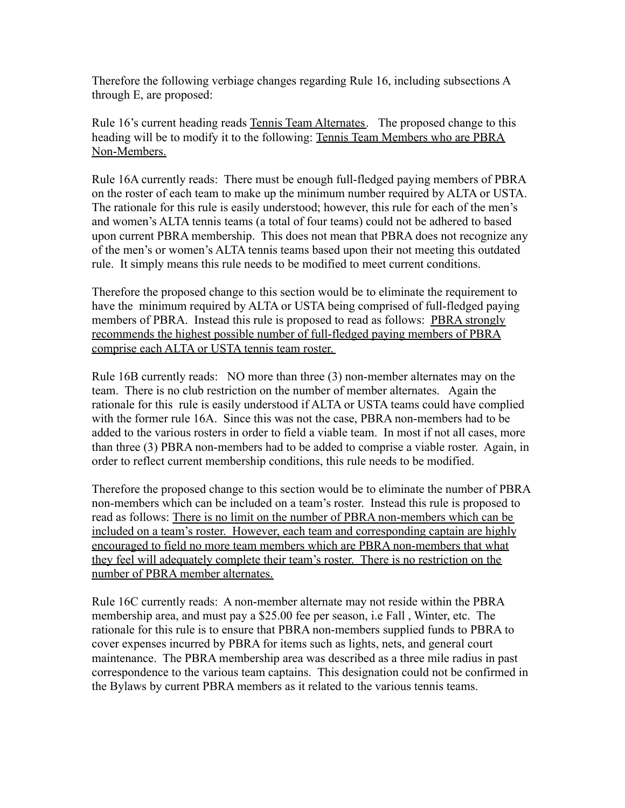Therefore the following verbiage changes regarding Rule 16, including subsections A through E, are proposed:

Rule 16's current heading reads Tennis Team Alternates. The proposed change to this heading will be to modify it to the following: Tennis Team Members who are PBRA Non-Members.

Rule 16A currently reads: There must be enough full-fledged paying members of PBRA on the roster of each team to make up the minimum number required by ALTA or USTA. The rationale for this rule is easily understood; however, this rule for each of the men's and women's ALTA tennis teams (a total of four teams) could not be adhered to based upon current PBRA membership. This does not mean that PBRA does not recognize any of the men's or women's ALTA tennis teams based upon their not meeting this outdated rule. It simply means this rule needs to be modified to meet current conditions.

Therefore the proposed change to this section would be to eliminate the requirement to have the minimum required by ALTA or USTA being comprised of full-fledged paying members of PBRA. Instead this rule is proposed to read as follows: PBRA strongly recommends the highest possible number of full-fledged paying members of PBRA comprise each ALTA or USTA tennis team roster.

Rule 16B currently reads: NO more than three (3) non-member alternates may on the team. There is no club restriction on the number of member alternates. Again the rationale for this rule is easily understood if ALTA or USTA teams could have complied with the former rule 16A. Since this was not the case, PBRA non-members had to be added to the various rosters in order to field a viable team. In most if not all cases, more than three (3) PBRA non-members had to be added to comprise a viable roster. Again, in order to reflect current membership conditions, this rule needs to be modified.

Therefore the proposed change to this section would be to eliminate the number of PBRA non-members which can be included on a team's roster. Instead this rule is proposed to read as follows: There is no limit on the number of PBRA non-members which can be included on a team's roster. However, each team and corresponding captain are highly encouraged to field no more team members which are PBRA non-members that what they feel will adequately complete their team's roster. There is no restriction on the number of PBRA member alternates.

Rule 16C currently reads: A non-member alternate may not reside within the PBRA membership area, and must pay a \$25.00 fee per season, i.e Fall , Winter, etc. The rationale for this rule is to ensure that PBRA non-members supplied funds to PBRA to cover expenses incurred by PBRA for items such as lights, nets, and general court maintenance. The PBRA membership area was described as a three mile radius in past correspondence to the various team captains. This designation could not be confirmed in the Bylaws by current PBRA members as it related to the various tennis teams.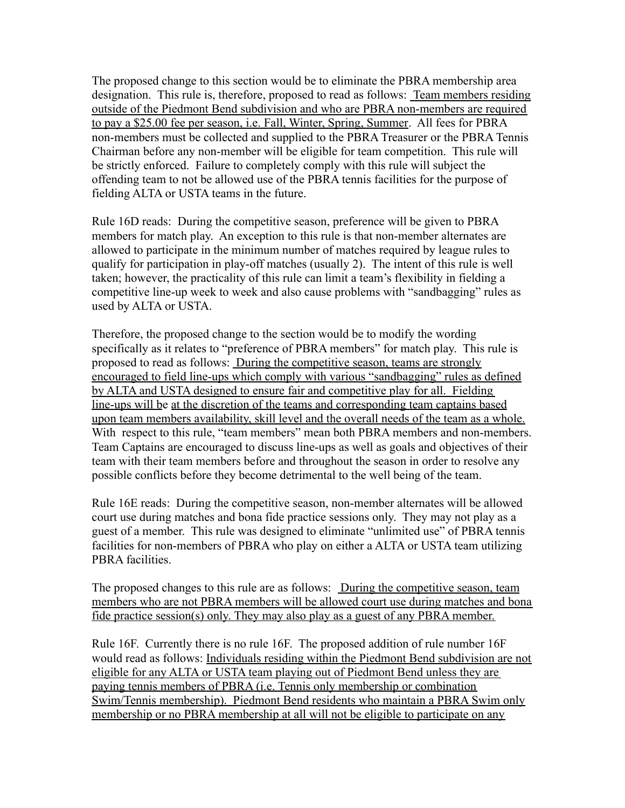The proposed change to this section would be to eliminate the PBRA membership area designation. This rule is, therefore, proposed to read as follows: Team members residing outside of the Piedmont Bend subdivision and who are PBRA non-members are required to pay a \$25.00 fee per season, i.e. Fall, Winter, Spring, Summer. All fees for PBRA non-members must be collected and supplied to the PBRA Treasurer or the PBRA Tennis Chairman before any non-member will be eligible for team competition. This rule will be strictly enforced. Failure to completely comply with this rule will subject the offending team to not be allowed use of the PBRA tennis facilities for the purpose of fielding ALTA or USTA teams in the future.

Rule 16D reads: During the competitive season, preference will be given to PBRA members for match play. An exception to this rule is that non-member alternates are allowed to participate in the minimum number of matches required by league rules to qualify for participation in play-off matches (usually 2). The intent of this rule is well taken; however, the practicality of this rule can limit a team's flexibility in fielding a competitive line-up week to week and also cause problems with "sandbagging" rules as used by ALTA or USTA.

Therefore, the proposed change to the section would be to modify the wording specifically as it relates to "preference of PBRA members" for match play. This rule is proposed to read as follows: During the competitive season, teams are strongly encouraged to field line-ups which comply with various "sandbagging" rules as defined by ALTA and USTA designed to ensure fair and competitive play for all. Fielding line-ups will be at the discretion of the teams and corresponding team captains based upon team members availability, skill level and the overall needs of the team as a whole. With respect to this rule, "team members" mean both PBRA members and non-members. Team Captains are encouraged to discuss line-ups as well as goals and objectives of their team with their team members before and throughout the season in order to resolve any possible conflicts before they become detrimental to the well being of the team.

Rule 16E reads: During the competitive season, non-member alternates will be allowed court use during matches and bona fide practice sessions only. They may not play as a guest of a member. This rule was designed to eliminate "unlimited use" of PBRA tennis facilities for non-members of PBRA who play on either a ALTA or USTA team utilizing PBRA facilities.

The proposed changes to this rule are as follows: During the competitive season, team members who are not PBRA members will be allowed court use during matches and bona fide practice session(s) only. They may also play as a guest of any PBRA member.

Rule 16F. Currently there is no rule 16F. The proposed addition of rule number 16F would read as follows: Individuals residing within the Piedmont Bend subdivision are not eligible for any ALTA or USTA team playing out of Piedmont Bend unless they are paying tennis members of PBRA (i.e. Tennis only membership or combination Swim/Tennis membership). Piedmont Bend residents who maintain a PBRA Swim only membership or no PBRA membership at all will not be eligible to participate on any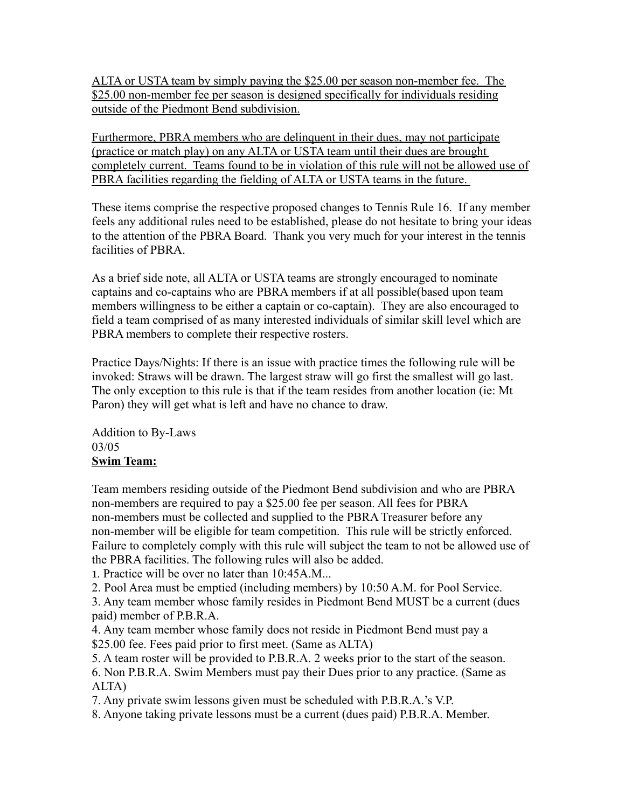ALTA or USTA team by simply paying the \$25.00 per season non-member fee. The \$25.00 non-member fee per season is designed specifically for individuals residing outside of the Piedmont Bend subdivision.

Furthermore, PBRA members who are delinquent in their dues, may not participate (practice or match play) on any ALTA or USTA team until their dues are brought completely current. Teams found to be in violation of this rule will not be allowed use of PBRA facilities regarding the fielding of ALTA or USTA teams in the future.

These items comprise the respective proposed changes to Tennis Rule 16. If any member feels any additional rules need to be established, please do not hesitate to bring your ideas to the attention of the PBRA Board. Thank you very much for your interest in the tennis facilities of PBRA.

As a brief side note, all ALTA or USTA teams are strongly encouraged to nominate captains and co-captains who are PBRA members if at all possible(based upon team members willingness to be either a captain or co-captain). They are also encouraged to field a team comprised of as many interested individuals of similar skill level which are PBRA members to complete their respective rosters.

Practice Days/Nights: If there is an issue with practice times the following rule will be invoked: Straws will be drawn. The largest straw will go first the smallest will go last. The only exception to this rule is that if the team resides from another location (ie: Mt Paron) they will get what is left and have no chance to draw.

Addition to By-Laws 03/05 **Swim Team:**

Team members residing outside of the Piedmont Bend subdivision and who are PBRA non-members are required to pay a \$25.00 fee per season. All fees for PBRA non-members must be collected and supplied to the PBRA Treasurer before any non-member will be eligible for team competition. This rule will be strictly enforced. Failure to completely comply with this rule will subject the team to not be allowed use of the PBRA facilities. The following rules will also be added.

1. Practice will be over no later than 10:45A.M...

2. Pool Area must be emptied (including members) by 10:50 A.M. for Pool Service.

3. Any team member whose family resides in Piedmont Bend MUST be a current (dues paid) member of P.B.R.A.

4. Any team member whose family does not reside in Piedmont Bend must pay a \$25.00 fee. Fees paid prior to first meet. (Same as ALTA)

5. A team roster will be provided to P.B.R.A. 2 weeks prior to the start of the season. 6. Non P.B.R.A. Swim Members must pay their Dues prior to any practice. (Same as ALTA)

7. Any private swim lessons given must be scheduled with P.B.R.A.'s V.P.

8. Anyone taking private lessons must be a current (dues paid) P.B.R.A. Member.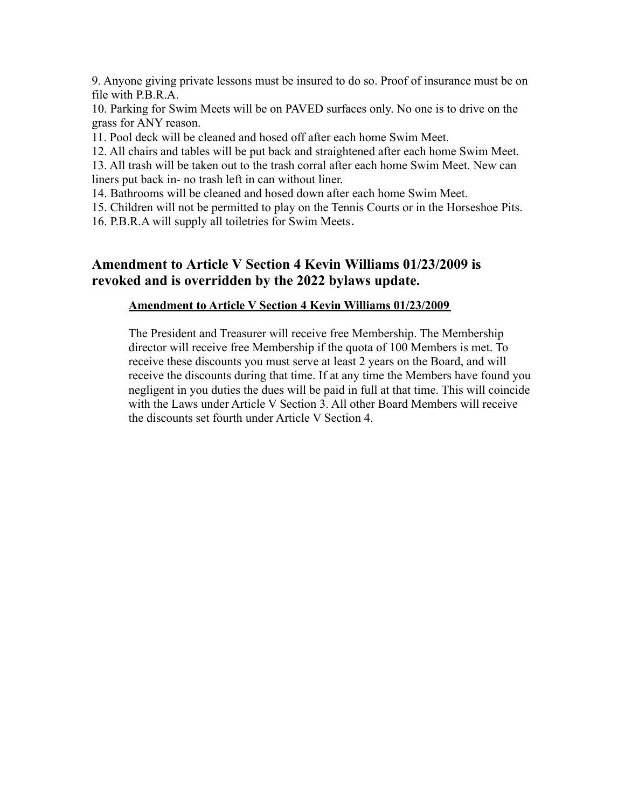9. Anyone giving private lessons must be insured to do so. Proof of insurance must be on file with P.B.R.A.

10. Parking for Swim Meets will be on PAVED surfaces only. No one is to drive on the grass for ANY reason.

11. Pool deck will be cleaned and hosed off after each home Swim Meet.

12. All chairs and tables will be put back and straightened after each home Swim Meet.

13. All trash will be taken out to the trash corral after each home Swim Meet. New can liners put back in- no trash left in can without liner.

14. Bathrooms will be cleaned and hosed down after each home Swim Meet.

15. Children will not be permitted to play on the Tennis Courts or in the Horseshoe Pits.

16. P.B.R.A will supply all toiletries for Swim Meets.

# **Amendment to Article V Section 4 Kevin Williams 01/23/2009 is revoked and is overridden by the 2022 bylaws update.**

#### **Amendment to Article V Section 4 Kevin Williams 01/23/2009**

The President and Treasurer will receive free Membership. The Membership director will receive free Membership if the quota of 100 Members is met. To receive these discounts you must serve at least 2 years on the Board, and will receive the discounts during that time. If at any time the Members have found you negligent in you duties the dues will be paid in full at that time. This will coincide with the Laws under Article V Section 3. All other Board Members will receive the discounts set fourth under Article V Section 4.